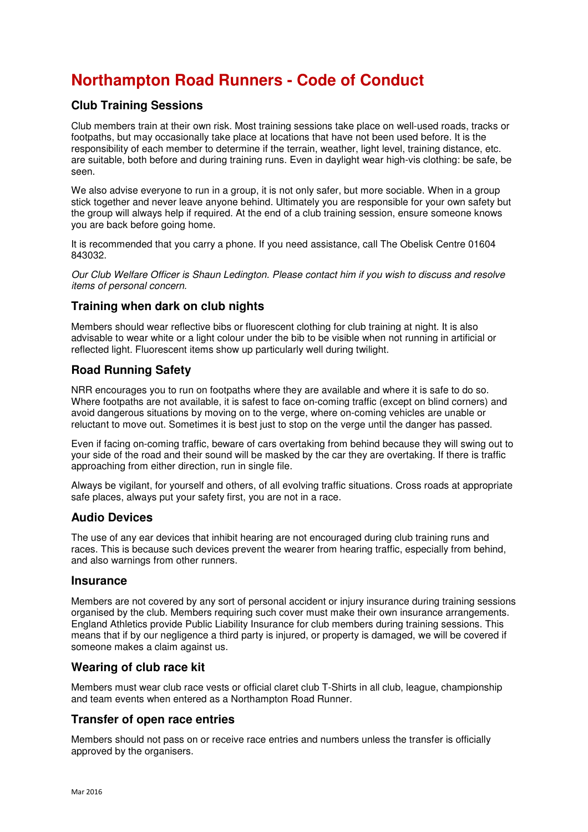# **Northampton Road Runners - Code of Conduct**

### **Club Training Sessions**

Club members train at their own risk. Most training sessions take place on well-used roads, tracks or footpaths, but may occasionally take place at locations that have not been used before. It is the responsibility of each member to determine if the terrain, weather, light level, training distance, etc. are suitable, both before and during training runs. Even in daylight wear high-vis clothing: be safe, be seen.

We also advise everyone to run in a group, it is not only safer, but more sociable. When in a group stick together and never leave anyone behind. Ultimately you are responsible for your own safety but the group will always help if required. At the end of a club training session, ensure someone knows you are back before going home.

It is recommended that you carry a phone. If you need assistance, call The Obelisk Centre 01604 843032.

Our Club Welfare Officer is Shaun Ledington. Please contact him if you wish to discuss and resolve items of personal concern.

#### **Training when dark on club nights**

Members should wear reflective bibs or fluorescent clothing for club training at night. It is also advisable to wear white or a light colour under the bib to be visible when not running in artificial or reflected light. Fluorescent items show up particularly well during twilight.

#### **Road Running Safety**

NRR encourages you to run on footpaths where they are available and where it is safe to do so. Where footpaths are not available, it is safest to face on-coming traffic (except on blind corners) and avoid dangerous situations by moving on to the verge, where on-coming vehicles are unable or reluctant to move out. Sometimes it is best just to stop on the verge until the danger has passed.

Even if facing on-coming traffic, beware of cars overtaking from behind because they will swing out to your side of the road and their sound will be masked by the car they are overtaking. If there is traffic approaching from either direction, run in single file.

Always be vigilant, for yourself and others, of all evolving traffic situations. Cross roads at appropriate safe places, always put your safety first, you are not in a race.

#### **Audio Devices**

The use of any ear devices that inhibit hearing are not encouraged during club training runs and races. This is because such devices prevent the wearer from hearing traffic, especially from behind, and also warnings from other runners.

#### **Insurance**

Members are not covered by any sort of personal accident or injury insurance during training sessions organised by the club. Members requiring such cover must make their own insurance arrangements. England Athletics provide Public Liability Insurance for club members during training sessions. This means that if by our negligence a third party is injured, or property is damaged, we will be covered if someone makes a claim against us.

#### **Wearing of club race kit**

Members must wear club race vests or official claret club T-Shirts in all club, league, championship and team events when entered as a Northampton Road Runner.

#### **Transfer of open race entries**

Members should not pass on or receive race entries and numbers unless the transfer is officially approved by the organisers.